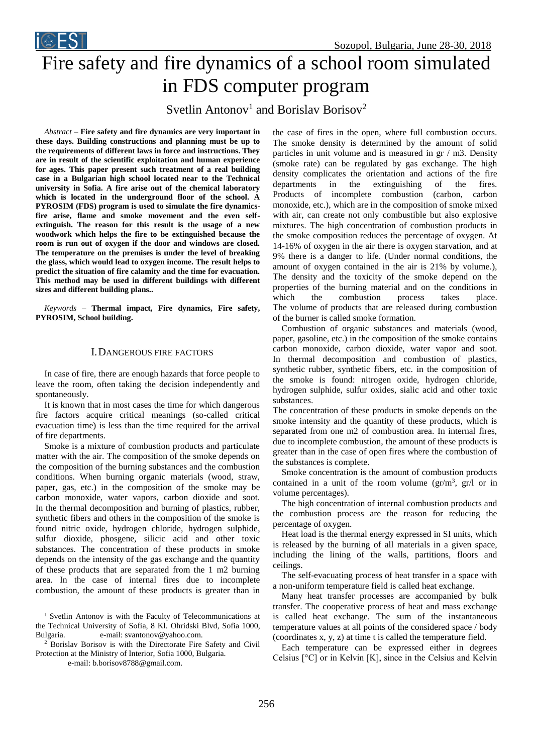

# Fire safety and fire dynamics of a school room simulated in FDS computer program

Svetlin Antonov<sup>1</sup> and Borislav Borisov<sup>2</sup>

*Abstract –* **Fire safety and fire dynamics are very important in these days. Building constructions and planning must be up to the requirements of different laws in force and instructions. They are in result of the scientific exploitation and human experience for ages. This paper present such treatment of a real building case in a Bulgarian high school located near to the Technical university in Sofia. A fire arise out of the chemical laboratory which is located in the underground floor of the school. A PYROSIM (FDS) program is used to simulate the fire dynamicsfire arise, flame and smoke movement and the even selfextinguish. The reason for this result is the usage of a new woodwork which helps the fire to be extinguished because the room is run out of oxygen if the door and windows are closed. The temperature on the premises is under the level of breaking the glass, which would lead to oxygen income. The result helps to predict the situation of fire calamity and the time for evacuation. This method may be used in different buildings with different sizes and different building plans..** 

*Keywords –* **Thermal impact, Fire dynamics, Fire safety, PYROSIM, School building.**

### I.DANGEROUS FIRE FACTORS

In case of fire, there are enough hazards that force people to leave the room, often taking the decision independently and spontaneously.

It is known that in most cases the time for which dangerous fire factors acquire critical meanings (so-called critical evacuation time) is less than the time required for the arrival of fire departments.

Smoke is a mixture of combustion products and particulate matter with the air. The composition of the smoke depends on the composition of the burning substances and the combustion conditions. When burning organic materials (wood, straw, paper, gas, etc.) in the composition of the smoke may be carbon monoxide, water vapors, carbon dioxide and soot. In the thermal decomposition and burning of plastics, rubber, synthetic fibers and others in the composition of the smoke is found nitric oxide, hydrogen chloride, hydrogen sulphide, sulfur dioxide, phosgene, silicic acid and other toxic substances. The concentration of these products in smoke depends on the intensity of the gas exchange and the quantity of these products that are separated from the 1 m2 burning area. In the case of internal fires due to incomplete combustion, the amount of these products is greater than in

<sup>1</sup> Svetlin Antonov is with the Faculty of Telecommunications at the Technical University of Sofia, 8 Kl. Ohridski Blvd, Sofia 1000, Bulgaria. e-mail: svantonov@yahoo.com.

<sup>2</sup> Borislav Borisov is with the Directorate Fire Safety and Civil Protection at the Ministry of Interior, Sofia 1000, Bulgaria.

e-mail: b.borisov8788@gmail.com.

the case of fires in the open, where full combustion occurs. The smoke density is determined by the amount of solid particles in unit volume and is measured in gr / m3. Density (smoke rate) can be regulated by gas exchange. The high density complicates the orientation and actions of the fire departments in the extinguishing of the fires. Products of incomplete combustion (carbon, carbon monoxide, etc.), which are in the composition of smoke mixed with air, can create not only combustible but also explosive mixtures. The high concentration of combustion products in the smoke composition reduces the percentage of oxygen. At 14-16% of oxygen in the air there is oxygen starvation, and at 9% there is a danger to life. (Under normal conditions, the amount of oxygen contained in the air is 21% by volume.), The density and the toxicity of the smoke depend on the properties of the burning material and on the conditions in which the combustion process takes place. The volume of products that are released during combustion of the burner is called smoke formation.

Combustion of organic substances and materials (wood, paper, gasoline, etc.) in the composition of the smoke contains carbon monoxide, carbon dioxide, water vapor and soot. In thermal decomposition and combustion of plastics, synthetic rubber, synthetic fibers, etc. in the composition of the smoke is found: nitrogen oxide, hydrogen chloride, hydrogen sulphide, sulfur oxides, sialic acid and other toxic substances.

The concentration of these products in smoke depends on the smoke intensity and the quantity of these products, which is separated from one m2 of combustion area. In internal fires, due to incomplete combustion, the amount of these products is greater than in the case of open fires where the combustion of the substances is complete.

Smoke concentration is the amount of combustion products contained in a unit of the room volume  $(gr/m^3, gr/l)$  or in volume percentages).

The high concentration of internal combustion products and the combustion process are the reason for reducing the percentage of oxygen.

Heat load is the thermal energy expressed in SI units, which is released by the burning of all materials in a given space, including the lining of the walls, partitions, floors and ceilings.

The self-evacuating process of heat transfer in a space with a non-uniform temperature field is called heat exchange.

Many heat transfer processes are accompanied by bulk transfer. The cooperative process of heat and mass exchange is called heat exchange. The sum of the instantaneous temperature values at all points of the considered space / body (coordinates x, y, z) at time t is called the temperature field.

Each temperature can be expressed either in degrees Celsius [°C] or in Kelvin [K], since in the Celsius and Kelvin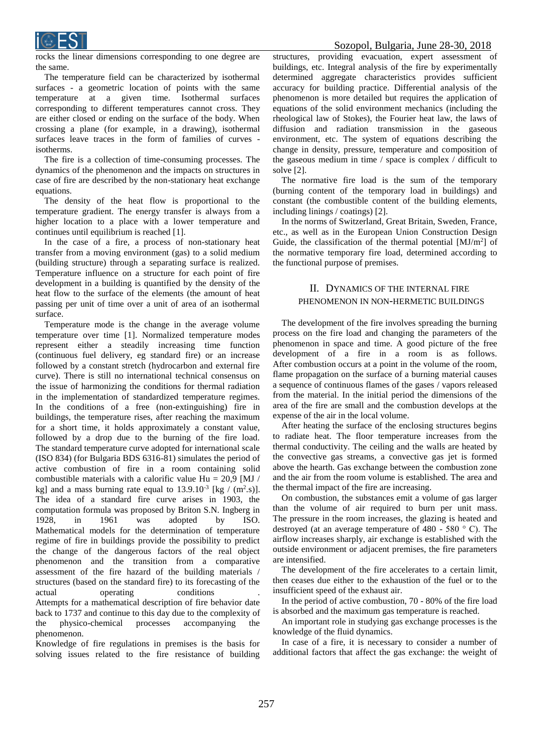

rocks the linear dimensions corresponding to one degree are the same.

The temperature field can be characterized by isothermal surfaces - a geometric location of points with the same temperature at a given time. Isothermal surfaces corresponding to different temperatures cannot cross. They are either closed or ending on the surface of the body. When crossing a plane (for example, in a drawing), isothermal surfaces leave traces in the form of families of curves isotherms.

The fire is a collection of time-consuming processes. The dynamics of the phenomenon and the impacts on structures in case of fire are described by the non-stationary heat exchange equations.

The density of the heat flow is proportional to the temperature gradient. The energy transfer is always from a higher location to a place with a lower temperature and continues until equilibrium is reached [1].

In the case of a fire, a process of non-stationary heat transfer from a moving environment (gas) to a solid medium (building structure) through a separating surface is realized. Temperature influence on a structure for each point of fire development in a building is quantified by the density of the heat flow to the surface of the elements (the amount of heat passing per unit of time over a unit of area of an isothermal surface.

Temperature mode is the change in the average volume temperature over time [1]. Normalized temperature modes represent either a steadily increasing time function (continuous fuel delivery, eg standard fire) or an increase followed by a constant stretch (hydrocarbon and external fire curve). There is still no international technical consensus on the issue of harmonizing the conditions for thermal radiation in the implementation of standardized temperature regimes. In the conditions of a free (non-extinguishing) fire in buildings, the temperature rises, after reaching the maximum for a short time, it holds approximately a constant value, followed by a drop due to the burning of the fire load. The standard temperature curve adopted for international scale (ISO 834) (for Bulgaria BDS 6316-81) simulates the period of active combustion of fire in a room containing solid combustible materials with a calorific value Hu =  $20.9$  [MJ / kg] and a mass burning rate equal to  $13.9.10^{-3}$  [kg / (m<sup>2</sup>.s)]. The idea of a standard fire curve arises in 1903, the computation formula was proposed by Briton S.N. Ingberg in 1928, in 1961 was adopted by ISO. Mathematical models for the determination of temperature regime of fire in buildings provide the possibility to predict the change of the dangerous factors of the real object phenomenon and the transition from a comparative assessment of the fire hazard of the building materials / structures (based on the standard fire) to its forecasting of the actual operating conditions Attempts for a mathematical description of fire behavior date back to 1737 and continue to this day due to the complexity of the physico-chemical processes accompanying the phenomenon.

Knowledge of fire regulations in premises is the basis for solving issues related to the fire resistance of building

structures, providing evacuation, expert assessment of buildings, etc. Integral analysis of the fire by experimentally determined aggregate characteristics provides sufficient accuracy for building practice. Differential analysis of the phenomenon is more detailed but requires the application of equations of the solid environment mechanics (including the rheological law of Stokes), the Fourier heat law, the laws of diffusion and radiation transmission in the gaseous environment, etc. The system of equations describing the change in density, pressure, temperature and composition of the gaseous medium in time / space is complex / difficult to solve [2].

The normative fire load is the sum of the temporary (burning content of the temporary load in buildings) and constant (the combustible content of the building elements, including linings / coatings) [2].

In the norms of Switzerland, Great Britain, Sweden, France, etc., as well as in the European Union Construction Design Guide, the classification of the thermal potential [MJ/m<sup>2</sup>] of the normative temporary fire load, determined according to the functional purpose of premises.

### II. DYNAMICS OF THE INTERNAL FIRE PHENOMENON IN NON-HERMETIC BUILDINGS

The development of the fire involves spreading the burning process on the fire load and changing the parameters of the phenomenon in space and time. A good picture of the free development of a fire in a room is as follows. After combustion occurs at a point in the volume of the room, flame propagation on the surface of a burning material causes a sequence of continuous flames of the gases / vapors released from the material. In the initial period the dimensions of the area of the fire are small and the combustion develops at the expense of the air in the local volume.

After heating the surface of the enclosing structures begins to radiate heat. The floor temperature increases from the thermal conductivity. The ceiling and the walls are heated by the convective gas streams, a convective gas jet is formed above the hearth. Gas exchange between the combustion zone and the air from the room volume is established. The area and the thermal impact of the fire are increasing.

On combustion, the substances emit a volume of gas larger than the volume of air required to burn per unit mass. The pressure in the room increases, the glazing is heated and destroyed (at an average temperature of 480 - 580 ° C). The airflow increases sharply, air exchange is established with the outside environment or adjacent premises, the fire parameters are intensified.

The development of the fire accelerates to a certain limit, then ceases due either to the exhaustion of the fuel or to the insufficient speed of the exhaust air.

In the period of active combustion, 70 - 80% of the fire load is absorbed and the maximum gas temperature is reached.

An important role in studying gas exchange processes is the knowledge of the fluid dynamics.

In case of a fire, it is necessary to consider a number of additional factors that affect the gas exchange: the weight of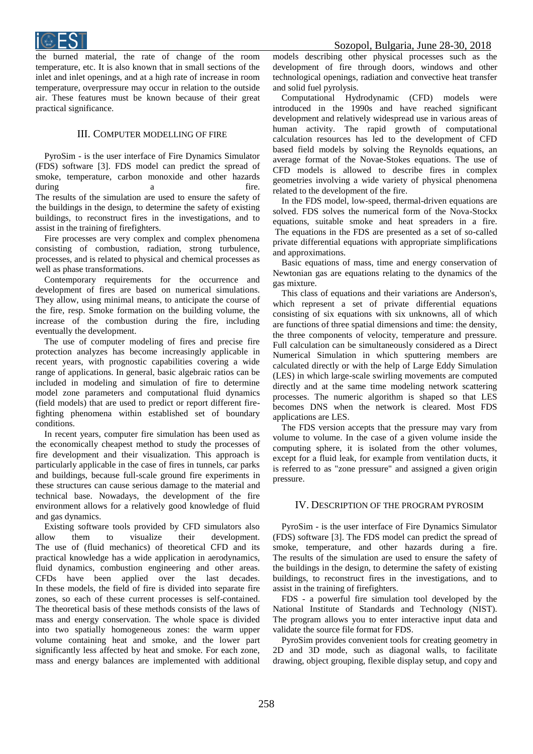

the burned material, the rate of change of the room temperature, etc. It is also known that in small sections of the inlet and inlet openings, and at a high rate of increase in room temperature, overpressure may occur in relation to the outside air. These features must be known because of their great practical significance.

#### III. COMPUTER MODELLING OF FIRE

PyroSim - is the user interface of Fire Dynamics Simulator (FDS) software [3]. FDS model can predict the spread of smoke, temperature, carbon monoxide and other hazards during a same a fire. The results of the simulation are used to ensure the safety of the buildings in the design, to determine the safety of existing buildings, to reconstruct fires in the investigations, and to assist in the training of firefighters.

Fire processes are very complex and complex phenomena consisting of combustion, radiation, strong turbulence, processes, and is related to physical and chemical processes as well as phase transformations.

Contemporary requirements for the occurrence and development of fires are based on numerical simulations. They allow, using minimal means, to anticipate the course of the fire, resp. Smoke formation on the building volume, the increase of the combustion during the fire, including eventually the development.

The use of computer modeling of fires and precise fire protection analyzes has become increasingly applicable in recent years, with prognostic capabilities covering a wide range of applications. In general, basic algebraic ratios can be included in modeling and simulation of fire to determine model zone parameters and computational fluid dynamics (field models) that are used to predict or report different firefighting phenomena within established set of boundary conditions.

In recent years, computer fire simulation has been used as the economically cheapest method to study the processes of fire development and their visualization. This approach is particularly applicable in the case of fires in tunnels, car parks and buildings, because full-scale ground fire experiments in these structures can cause serious damage to the material and technical base. Nowadays, the development of the fire environment allows for a relatively good knowledge of fluid and gas dynamics.

Existing software tools provided by CFD simulators also allow them to visualize their development. The use of (fluid mechanics) of theoretical CFD and its practical knowledge has a wide application in aerodynamics, fluid dynamics, combustion engineering and other areas. CFDs have been applied over the last decades. In these models, the field of fire is divided into separate fire zones, so each of these current processes is self-contained. The theoretical basis of these methods consists of the laws of mass and energy conservation. The whole space is divided into two spatially homogeneous zones: the warm upper volume containing heat and smoke, and the lower part significantly less affected by heat and smoke. For each zone, mass and energy balances are implemented with additional

models describing other physical processes such as the development of fire through doors, windows and other technological openings, radiation and convective heat transfer and solid fuel pyrolysis.

Computational Hydrodynamic (CFD) models were introduced in the 1990s and have reached significant development and relatively widespread use in various areas of human activity. The rapid growth of computational calculation resources has led to the development of CFD based field models by solving the Reynolds equations, an average format of the Novae-Stokes equations. The use of CFD models is allowed to describe fires in complex geometries involving a wide variety of physical phenomena related to the development of the fire.

In the FDS model, low-speed, thermal-driven equations are solved. FDS solves the numerical form of the Nova-Stockx equations, suitable smoke and heat spreaders in a fire. The equations in the FDS are presented as a set of so-called private differential equations with appropriate simplifications and approximations.

Basic equations of mass, time and energy conservation of Newtonian gas are equations relating to the dynamics of the gas mixture.

This class of equations and their variations are Anderson's, which represent a set of private differential equations consisting of six equations with six unknowns, all of which are functions of three spatial dimensions and time: the density, the three components of velocity, temperature and pressure. Full calculation can be simultaneously considered as a Direct Numerical Simulation in which sputtering members are calculated directly or with the help of Large Eddy Simulation (LES) in which large-scale swirling movements are computed directly and at the same time modeling network scattering processes. The numeric algorithm is shaped so that LES becomes DNS when the network is cleared. Most FDS applications are LES.

The FDS version accepts that the pressure may vary from volume to volume. In the case of a given volume inside the computing sphere, it is isolated from the other volumes, except for a fluid leak, for example from ventilation ducts, it is referred to as "zone pressure" and assigned a given origin pressure.

#### IV. DESCRIPTION OF THE PROGRAM PYROSIM

PyroSim - is the user interface of Fire Dynamics Simulator (FDS) software [3]. The FDS model can predict the spread of smoke, temperature, and other hazards during a fire. The results of the simulation are used to ensure the safety of the buildings in the design, to determine the safety of existing buildings, to reconstruct fires in the investigations, and to assist in the training of firefighters.

FDS - a powerful fire simulation tool developed by the National Institute of Standards and Technology (NIST). The program allows you to enter interactive input data and validate the source file format for FDS.

PyroSim provides convenient tools for creating geometry in 2D and 3D mode, such as diagonal walls, to facilitate drawing, object grouping, flexible display setup, and copy and